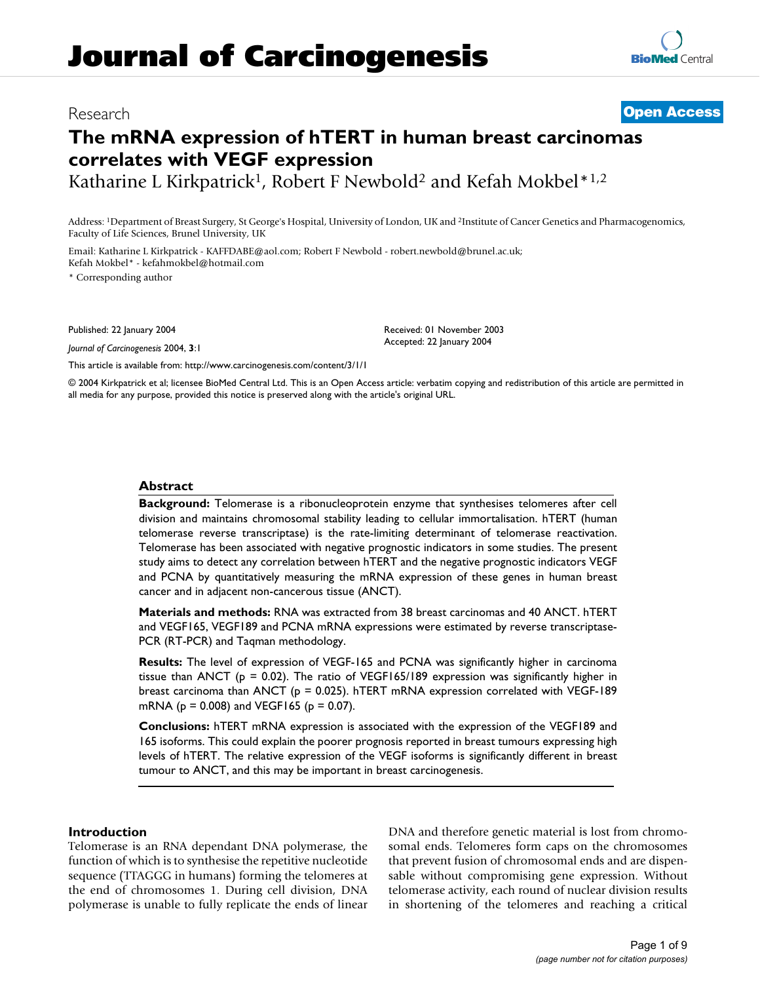## Research **[Open Access](http://www.biomedcentral.com/info/about/charter/)**

# **The mRNA expression of hTERT in human breast carcinomas correlates with VEGF expression**

Katharine L Kirkpatrick<sup>1</sup>, Robert F Newbold<sup>2</sup> and Kefah Mokbel\*<sup>1,2</sup>

Address: 1Department of Breast Surgery, St George's Hospital, University of London, UK and 2Institute of Cancer Genetics and Pharmacogenomics, Faculty of Life Sciences, Brunel University, UK

Email: Katharine L Kirkpatrick - KAFFDABE@aol.com; Robert F Newbold - robert.newbold@brunel.ac.uk; Kefah Mokbel\* - kefahmokbel@hotmail.com

\* Corresponding author

Published: 22 January 2004

*Journal of Carcinogenesis* 2004, **3**:1

[This article is available from: http://www.carcinogenesis.com/content/3/1/1](http://www.carcinogenesis.com/content/3/1/1)

Received: 01 November 2003 Accepted: 22 January 2004

© 2004 Kirkpatrick et al; licensee BioMed Central Ltd. This is an Open Access article: verbatim copying and redistribution of this article are permitted in all media for any purpose, provided this notice is preserved along with the article's original URL.

#### **Abstract**

**Background:** Telomerase is a ribonucleoprotein enzyme that synthesises telomeres after cell division and maintains chromosomal stability leading to cellular immortalisation. hTERT (human telomerase reverse transcriptase) is the rate-limiting determinant of telomerase reactivation. Telomerase has been associated with negative prognostic indicators in some studies. The present study aims to detect any correlation between hTERT and the negative prognostic indicators VEGF and PCNA by quantitatively measuring the mRNA expression of these genes in human breast cancer and in adjacent non-cancerous tissue (ANCT).

**Materials and methods:** RNA was extracted from 38 breast carcinomas and 40 ANCT. hTERT and VEGF165, VEGF189 and PCNA mRNA expressions were estimated by reverse transcriptase-PCR (RT-PCR) and Taqman methodology.

**Results:** The level of expression of VEGF-165 and PCNA was significantly higher in carcinoma tissue than ANCT ( $p = 0.02$ ). The ratio of VEGF165/189 expression was significantly higher in breast carcinoma than ANCT ( $p = 0.025$ ). hTERT mRNA expression correlated with VEGF-189 mRNA ( $p = 0.008$ ) and VEGF165 ( $p = 0.07$ ).

**Conclusions:** hTERT mRNA expression is associated with the expression of the VEGF189 and 165 isoforms. This could explain the poorer prognosis reported in breast tumours expressing high levels of hTERT. The relative expression of the VEGF isoforms is significantly different in breast tumour to ANCT, and this may be important in breast carcinogenesis.

#### **Introduction**

Telomerase is an RNA dependant DNA polymerase, the function of which is to synthesise the repetitive nucleotide sequence (TTAGGG in humans) forming the telomeres at the end of chromosomes 1. During cell division, DNA polymerase is unable to fully replicate the ends of linear DNA and therefore genetic material is lost from chromosomal ends. Telomeres form caps on the chromosomes that prevent fusion of chromosomal ends and are dispensable without compromising gene expression. Without telomerase activity, each round of nuclear division results in shortening of the telomeres and reaching a critical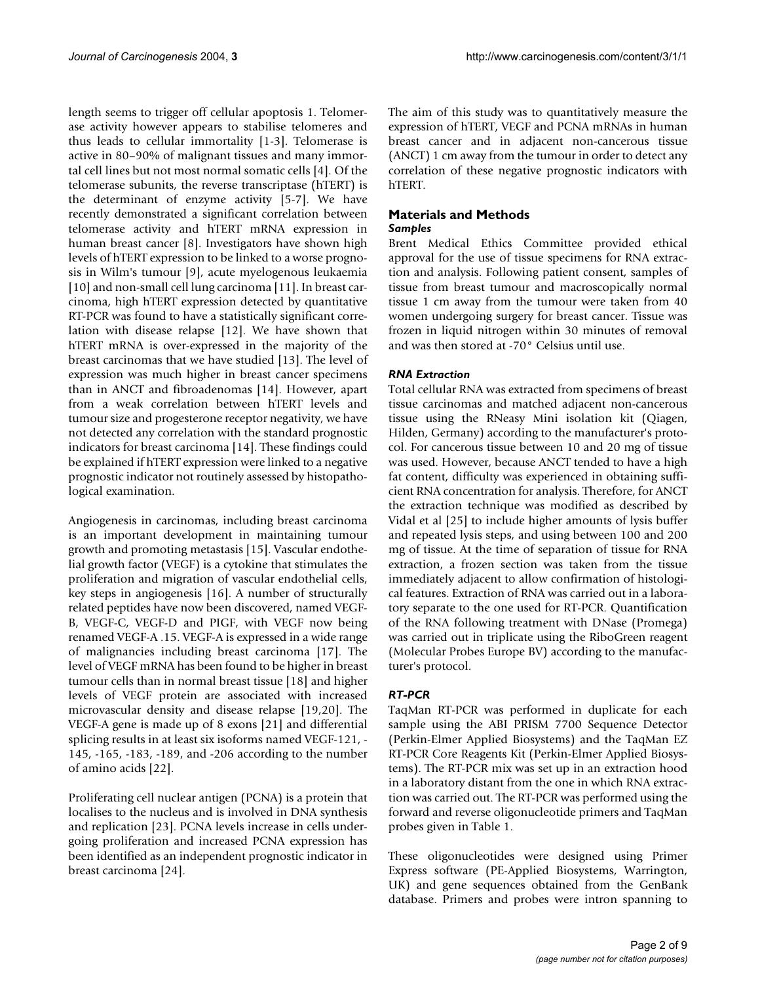length seems to trigger off cellular apoptosis 1. Telomerase activity however appears to stabilise telomeres and thus leads to cellular immortality [1-3]. Telomerase is active in 80–90% of malignant tissues and many immortal cell lines but not most normal somatic cells [4]. Of the telomerase subunits, the reverse transcriptase (hTERT) is the determinant of enzyme activity [5-7]. We have recently demonstrated a significant correlation between telomerase activity and hTERT mRNA expression in human breast cancer [8]. Investigators have shown high levels of hTERT expression to be linked to a worse prognosis in Wilm's tumour [9], acute myelogenous leukaemia [10] and non-small cell lung carcinoma [11]. In breast carcinoma, high hTERT expression detected by quantitative RT-PCR was found to have a statistically significant correlation with disease relapse [12]. We have shown that hTERT mRNA is over-expressed in the majority of the breast carcinomas that we have studied [13]. The level of expression was much higher in breast cancer specimens than in ANCT and fibroadenomas [14]. However, apart from a weak correlation between hTERT levels and tumour size and progesterone receptor negativity, we have not detected any correlation with the standard prognostic indicators for breast carcinoma [14]. These findings could be explained if hTERT expression were linked to a negative prognostic indicator not routinely assessed by histopathological examination.

Angiogenesis in carcinomas, including breast carcinoma is an important development in maintaining tumour growth and promoting metastasis [15]. Vascular endothelial growth factor (VEGF) is a cytokine that stimulates the proliferation and migration of vascular endothelial cells, key steps in angiogenesis [16]. A number of structurally related peptides have now been discovered, named VEGF-B, VEGF-C, VEGF-D and PIGF, with VEGF now being renamed VEGF-A .15. VEGF-A is expressed in a wide range of malignancies including breast carcinoma [17]. The level of VEGF mRNA has been found to be higher in breast tumour cells than in normal breast tissue [18] and higher levels of VEGF protein are associated with increased microvascular density and disease relapse [19,20]. The VEGF-A gene is made up of 8 exons [21] and differential splicing results in at least six isoforms named VEGF-121, - 145, -165, -183, -189, and -206 according to the number of amino acids [22].

Proliferating cell nuclear antigen (PCNA) is a protein that localises to the nucleus and is involved in DNA synthesis and replication [23]. PCNA levels increase in cells undergoing proliferation and increased PCNA expression has been identified as an independent prognostic indicator in breast carcinoma [24].

The aim of this study was to quantitatively measure the expression of hTERT, VEGF and PCNA mRNAs in human breast cancer and in adjacent non-cancerous tissue (ANCT) 1 cm away from the tumour in order to detect any correlation of these negative prognostic indicators with hTERT.

#### **Materials and Methods** *Samples*

Brent Medical Ethics Committee provided ethical approval for the use of tissue specimens for RNA extraction and analysis. Following patient consent, samples of tissue from breast tumour and macroscopically normal tissue 1 cm away from the tumour were taken from 40 women undergoing surgery for breast cancer. Tissue was frozen in liquid nitrogen within 30 minutes of removal and was then stored at -70° Celsius until use.

### *RNA Extraction*

Total cellular RNA was extracted from specimens of breast tissue carcinomas and matched adjacent non-cancerous tissue using the RNeasy Mini isolation kit (Qiagen, Hilden, Germany) according to the manufacturer's protocol. For cancerous tissue between 10 and 20 mg of tissue was used. However, because ANCT tended to have a high fat content, difficulty was experienced in obtaining sufficient RNA concentration for analysis. Therefore, for ANCT the extraction technique was modified as described by Vidal et al [25] to include higher amounts of lysis buffer and repeated lysis steps, and using between 100 and 200 mg of tissue. At the time of separation of tissue for RNA extraction, a frozen section was taken from the tissue immediately adjacent to allow confirmation of histological features. Extraction of RNA was carried out in a laboratory separate to the one used for RT-PCR. Quantification of the RNA following treatment with DNase (Promega) was carried out in triplicate using the RiboGreen reagent (Molecular Probes Europe BV) according to the manufacturer's protocol.

### *RT-PCR*

TaqMan RT-PCR was performed in duplicate for each sample using the ABI PRISM 7700 Sequence Detector (Perkin-Elmer Applied Biosystems) and the TaqMan EZ RT-PCR Core Reagents Kit (Perkin-Elmer Applied Biosystems). The RT-PCR mix was set up in an extraction hood in a laboratory distant from the one in which RNA extraction was carried out. The RT-PCR was performed using the forward and reverse oligonucleotide primers and TaqMan probes given in Table [1](#page-2-0).

These oligonucleotides were designed using Primer Express software (PE-Applied Biosystems, Warrington, UK) and gene sequences obtained from the GenBank database. Primers and probes were intron spanning to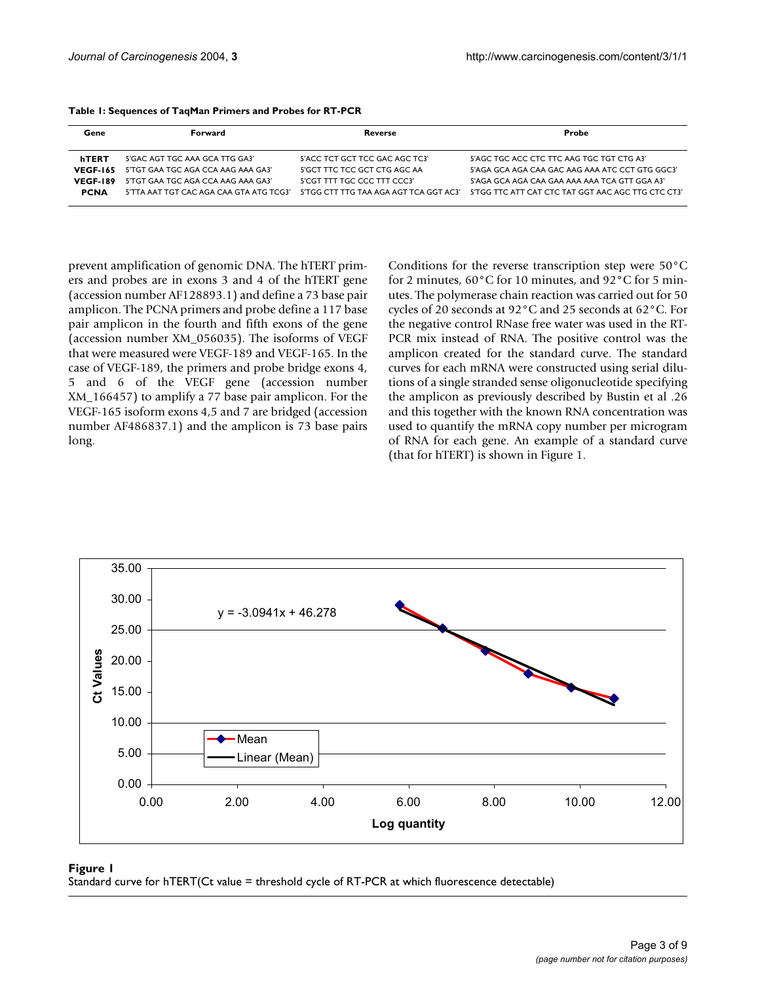| Gene            | Forward                                 | Reverse                                | Probe                                              |
|-----------------|-----------------------------------------|----------------------------------------|----------------------------------------------------|
| hTERT           | 5'GAC AGT TGC AAA GCA TTG GA3'          | 5'ACC TCT GCT TCC GAC AGC TC3'         | 5'AGC TGC ACC CTC TTC AAG TGC TGT CTG A3'          |
| <b>VEGF-165</b> | 5'TGT GAA TGC AGA CCA AAG AAA GA3'      | 5'GCT TTC TCC GCT CTG AGC AA           | 5'AGA GCA AGA CAA GAC AAG AAA ATC CCT GTG GGC3'    |
| <b>VEGF-189</b> | 5'TGT GAA TGC AGA CCA AAG AAA GA3'      | 5'CGT TTT TGC CCC TTT CCC3'            | 5'AGA GCA AGA CAA GAA AAA AAA TCA GTT GGA A3'      |
| <b>PCNA</b>     | 5'TTA AAT TGT CAC AGA CAA GTA ATG TCG3' | 5'TGG CTT TTG TAA AGA AGT TCA GGT AC3' | 5'TGG TTC ATT CAT CTC TAT GGT AAC AGC TTG CTC CT3' |
|                 |                                         |                                        |                                                    |

<span id="page-2-0"></span>

prevent amplification of genomic DNA. The hTERT primers and probes are in exons 3 and 4 of the hTERT gene (accession number AF128893.1) and define a 73 base pair amplicon. The PCNA primers and probe define a 117 base pair amplicon in the fourth and fifth exons of the gene (accession number XM\_056035). The isoforms of VEGF that were measured were VEGF-189 and VEGF-165. In the case of VEGF-189, the primers and probe bridge exons 4, 5 and 6 of the VEGF gene (accession number XM\_166457) to amplify a 77 base pair amplicon. For the VEGF-165 isoform exons 4,5 and 7 are bridged (accession number AF486837.1) and the amplicon is 73 base pairs long.

Conditions for the reverse transcription step were 50°C for 2 minutes, 60°C for 10 minutes, and 92°C for 5 minutes. The polymerase chain reaction was carried out for 50 cycles of 20 seconds at 92°C and 25 seconds at 62°C. For the negative control RNase free water was used in the RT-PCR mix instead of RNA. The positive control was the amplicon created for the standard curve. The standard curves for each mRNA were constructed using serial dilutions of a single stranded sense oligonucleotide specifying the amplicon as previously described by Bustin et al .26 and this together with the known RNA concentration was used to quantify the mRNA copy number per microgram of RNA for each gene. An example of a standard curve (that for hTERT) is shown in Figure 1.



#### Standard curve for hTERT(Ct value = threshold **Figure 1** cycle of RT-PCR at which fluorescence detectable)

Standard curve for hTERT(Ct value = threshold cycle of RT-PCR at which fluorescence detectable)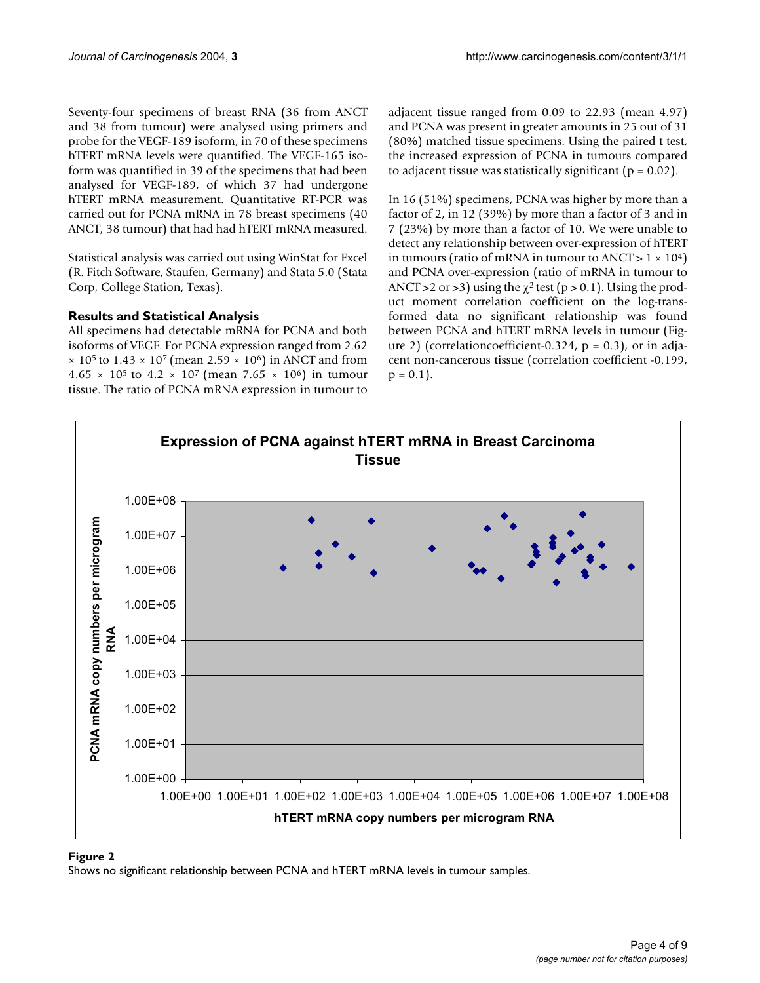Seventy-four specimens of breast RNA (36 from ANCT and 38 from tumour) were analysed using primers and probe for the VEGF-189 isoform, in 70 of these specimens hTERT mRNA levels were quantified. The VEGF-165 isoform was quantified in 39 of the specimens that had been analysed for VEGF-189, of which 37 had undergone hTERT mRNA measurement. Quantitative RT-PCR was carried out for PCNA mRNA in 78 breast specimens (40 ANCT, 38 tumour) that had had hTERT mRNA measured.

Statistical analysis was carried out using WinStat for Excel (R. Fitch Software, Staufen, Germany) and Stata 5.0 (Stata Corp, College Station, Texas).

### **Results and Statistical Analysis**

All specimens had detectable mRNA for PCNA and both isoforms of VEGF. For PCNA expression ranged from 2.62  $\times$  10<sup>5</sup> to 1.43  $\times$  10<sup>7</sup> (mean 2.59  $\times$  10<sup>6</sup>) in ANCT and from 4.65  $\times$  10<sup>5</sup> to 4.2  $\times$  10<sup>7</sup> (mean 7.65  $\times$  10<sup>6</sup>) in tumour tissue. The ratio of PCNA mRNA expression in tumour to adjacent tissue ranged from 0.09 to 22.93 (mean 4.97) and PCNA was present in greater amounts in 25 out of 31 (80%) matched tissue specimens. Using the paired t test, the increased expression of PCNA in tumours compared to adjacent tissue was statistically significant  $(p = 0.02)$ .

In 16 (51%) specimens, PCNA was higher by more than a factor of 2, in 12 (39%) by more than a factor of 3 and in 7 (23%) by more than a factor of 10. We were unable to detect any relationship between over-expression of hTERT in tumours (ratio of mRNA in tumour to ANCT >  $1 \times 10^4$ ) and PCNA over-expression (ratio of mRNA in tumour to ANCT > 2 or > 3) using the  $\chi^2$  test (p > 0.1). Using the product moment correlation coefficient on the log-transformed data no significant relationship was found between PCNA and hTERT mRNA levels in tumour (Figure 2) (correlationcoefficient-0.324,  $p = 0.3$ ), or in adjacent non-cancerous tissue (correlation coefficient -0.199,  $p = 0.1$ ).



#### Shows no significant relationship between PCNA **Figure 2** and hTERT mRNA levels in tumour samples

Shows no significant relationship between PCNA and hTERT mRNA levels in tumour samples.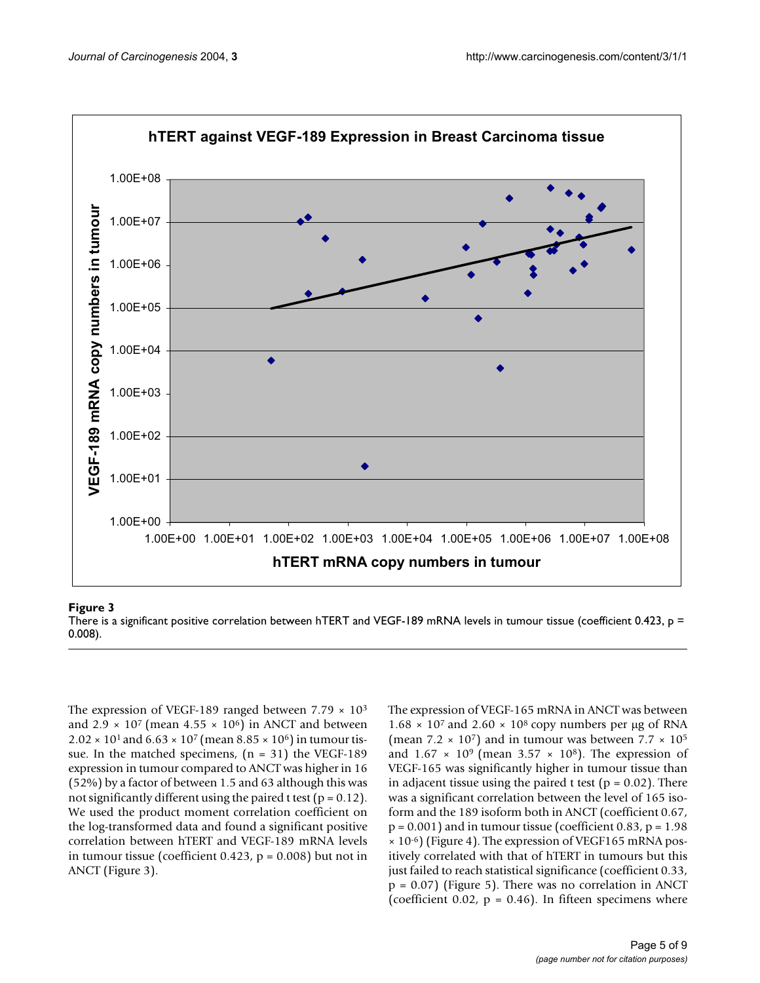

#### There is a significant positive orientation between https://www.and.com/na levels in tumour tissue (coefficient 0.433, p =  $\alpha$

There is a significant positive correlation between hTERT and VEGF-189 mRNA levels in tumour tissue (coefficient 0.423, p = 0.008).

The expression of VEGF-189 ranged between  $7.79 \times 10^3$ and  $2.9 \times 10^7$  (mean  $4.55 \times 10^6$ ) in ANCT and between  $2.02 \times 10^{1}$  and  $6.63 \times 10^{7}$  (mean  $8.85 \times 10^{6}$ ) in tumour tissue. In the matched specimens,  $(n = 31)$  the VEGF-189 expression in tumour compared to ANCT was higher in 16 (52%) by a factor of between 1.5 and 63 although this was not significantly different using the paired t test ( $p = 0.12$ ). We used the product moment correlation coefficient on the log-transformed data and found a significant positive correlation between hTERT and VEGF-189 mRNA levels in tumour tissue (coefficient 0.423,  $p = 0.008$ ) but not in ANCT (Figure 3).

The expression of VEGF-165 mRNA in ANCT was between  $1.68 \times 10^7$  and  $2.60 \times 10^8$  copy numbers per µg of RNA (mean  $7.2 \times 10^7$ ) and in tumour was between  $7.7 \times 10^5$ and  $1.67 \times 10^9$  (mean  $3.57 \times 10^8$ ). The expression of VEGF-165 was significantly higher in tumour tissue than in adjacent tissue using the paired t test ( $p = 0.02$ ). There was a significant correlation between the level of 165 isoform and the 189 isoform both in ANCT (coefficient 0.67,  $p = 0.001$ ) and in tumour tissue (coefficient 0.83,  $p = 1.98$ )  $\times$  10<sup>-6</sup>) (Figure 4). The expression of VEGF165 mRNA positively correlated with that of hTERT in tumours but this just failed to reach statistical significance (coefficient 0.33,  $p = 0.07$ ) (Figure 5). There was no correlation in ANCT (coefficient 0.02,  $p = 0.46$ ). In fifteen specimens where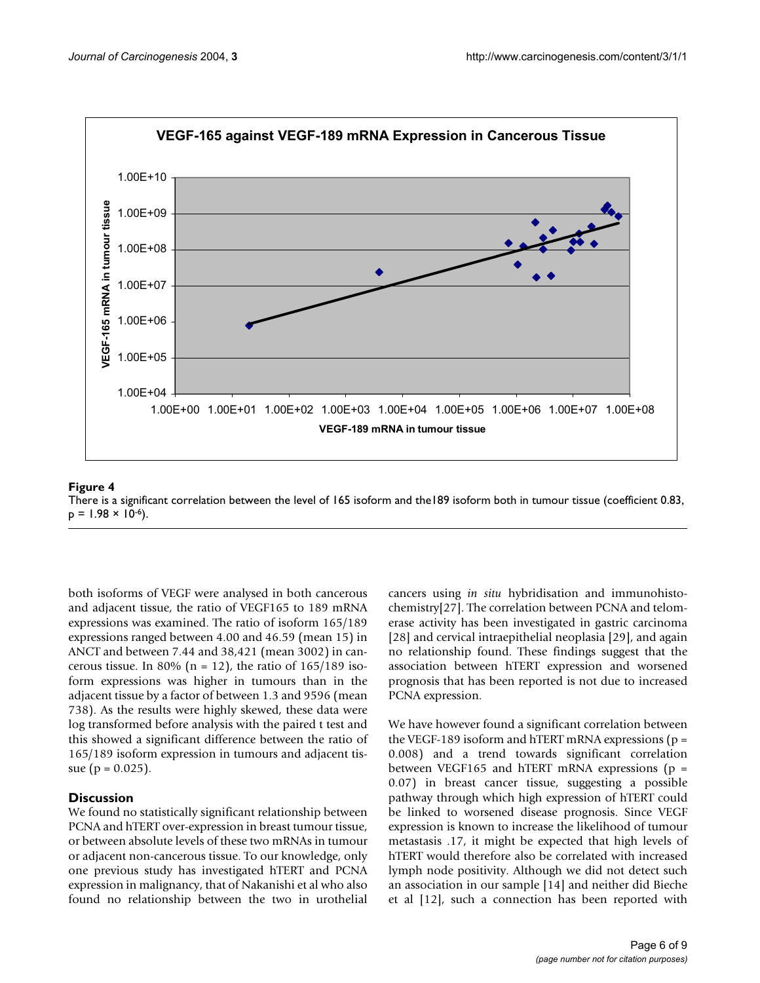

#### There is a significant correlation between p = 1.98 × 10 the level of 165 isoform and the189 isoform both in tumour tissue (coefficient 0.83, -6 **Figure 4** ) There is a significant correlation between the level of 165 isoform and the189 isoform both in tumour tissue (coefficient 0.83,  $p = 1.98 \times 10^{-6}$ .

both isoforms of VEGF were analysed in both cancerous and adjacent tissue, the ratio of VEGF165 to 189 mRNA expressions was examined. The ratio of isoform 165/189 expressions ranged between 4.00 and 46.59 (mean 15) in ANCT and between 7.44 and 38,421 (mean 3002) in cancerous tissue. In 80% ( $n = 12$ ), the ratio of 165/189 isoform expressions was higher in tumours than in the adjacent tissue by a factor of between 1.3 and 9596 (mean 738). As the results were highly skewed, these data were log transformed before analysis with the paired t test and this showed a significant difference between the ratio of 165/189 isoform expression in tumours and adjacent tissue ( $p = 0.025$ ).

#### **Discussion**

We found no statistically significant relationship between PCNA and hTERT over-expression in breast tumour tissue, or between absolute levels of these two mRNAs in tumour or adjacent non-cancerous tissue. To our knowledge, only one previous study has investigated hTERT and PCNA expression in malignancy, that of Nakanishi et al who also found no relationship between the two in urothelial cancers using *in situ* hybridisation and immunohistochemistry[27]. The correlation between PCNA and telomerase activity has been investigated in gastric carcinoma [28] and cervical intraepithelial neoplasia [29], and again no relationship found. These findings suggest that the association between hTERT expression and worsened prognosis that has been reported is not due to increased PCNA expression.

We have however found a significant correlation between the VEGF-189 isoform and hTERT mRNA expressions ( $p =$ 0.008) and a trend towards significant correlation between VEGF165 and hTERT mRNA expressions  $(p =$ 0.07) in breast cancer tissue, suggesting a possible pathway through which high expression of hTERT could be linked to worsened disease prognosis. Since VEGF expression is known to increase the likelihood of tumour metastasis .17, it might be expected that high levels of hTERT would therefore also be correlated with increased lymph node positivity. Although we did not detect such an association in our sample [14] and neither did Bieche et al [12], such a connection has been reported with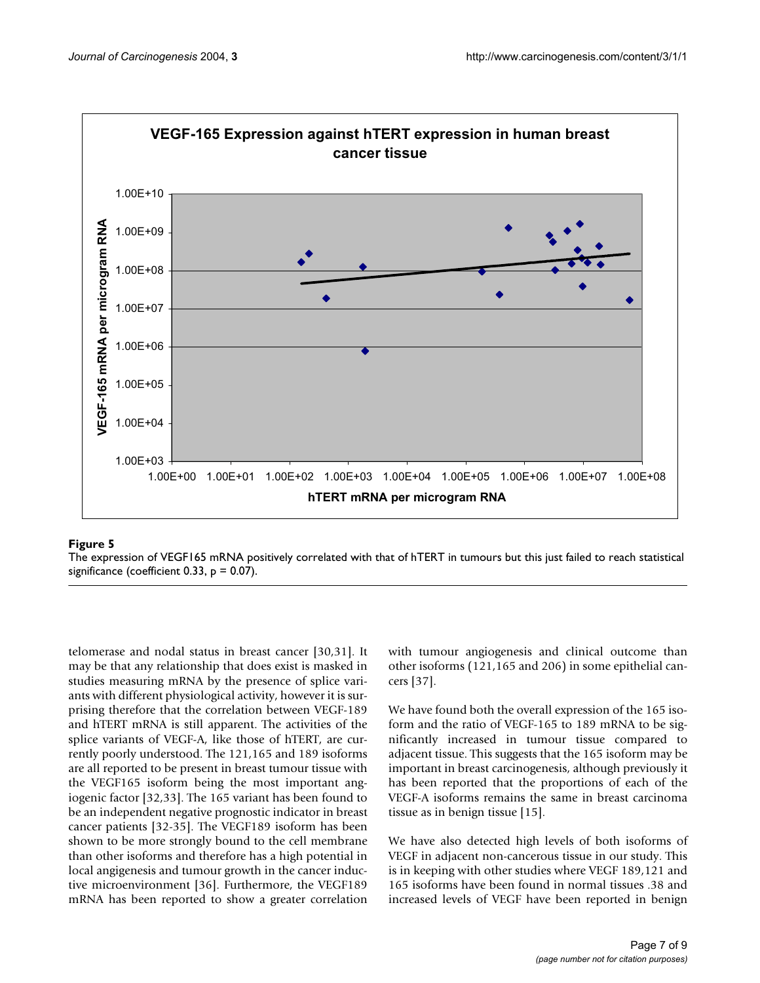

#### The expression of VEGF165 mRNA positively significance (coefficient of hTERT in tumours but that of hTERT in tumours but that of hTERT in tumours but this just failed to reach statistical to reach statistical to reach stat

The expression of VEGF165 mRNA positively correlated with that of hTERT in tumours but this just failed to reach statistical significance (coefficient 0.33,  $p = 0.07$ ).

telomerase and nodal status in breast cancer [30,31]. It may be that any relationship that does exist is masked in studies measuring mRNA by the presence of splice variants with different physiological activity, however it is surprising therefore that the correlation between VEGF-189 and hTERT mRNA is still apparent. The activities of the splice variants of VEGF-A, like those of hTERT, are currently poorly understood. The 121,165 and 189 isoforms are all reported to be present in breast tumour tissue with the VEGF165 isoform being the most important angiogenic factor [32,33]. The 165 variant has been found to be an independent negative prognostic indicator in breast cancer patients [32-35]. The VEGF189 isoform has been shown to be more strongly bound to the cell membrane than other isoforms and therefore has a high potential in local angigenesis and tumour growth in the cancer inductive microenvironment [36]. Furthermore, the VEGF189 mRNA has been reported to show a greater correlation with tumour angiogenesis and clinical outcome than other isoforms (121,165 and 206) in some epithelial cancers [37].

We have found both the overall expression of the 165 isoform and the ratio of VEGF-165 to 189 mRNA to be significantly increased in tumour tissue compared to adjacent tissue. This suggests that the 165 isoform may be important in breast carcinogenesis, although previously it has been reported that the proportions of each of the VEGF-A isoforms remains the same in breast carcinoma tissue as in benign tissue [15].

We have also detected high levels of both isoforms of VEGF in adjacent non-cancerous tissue in our study. This is in keeping with other studies where VEGF 189,121 and 165 isoforms have been found in normal tissues .38 and increased levels of VEGF have been reported in benign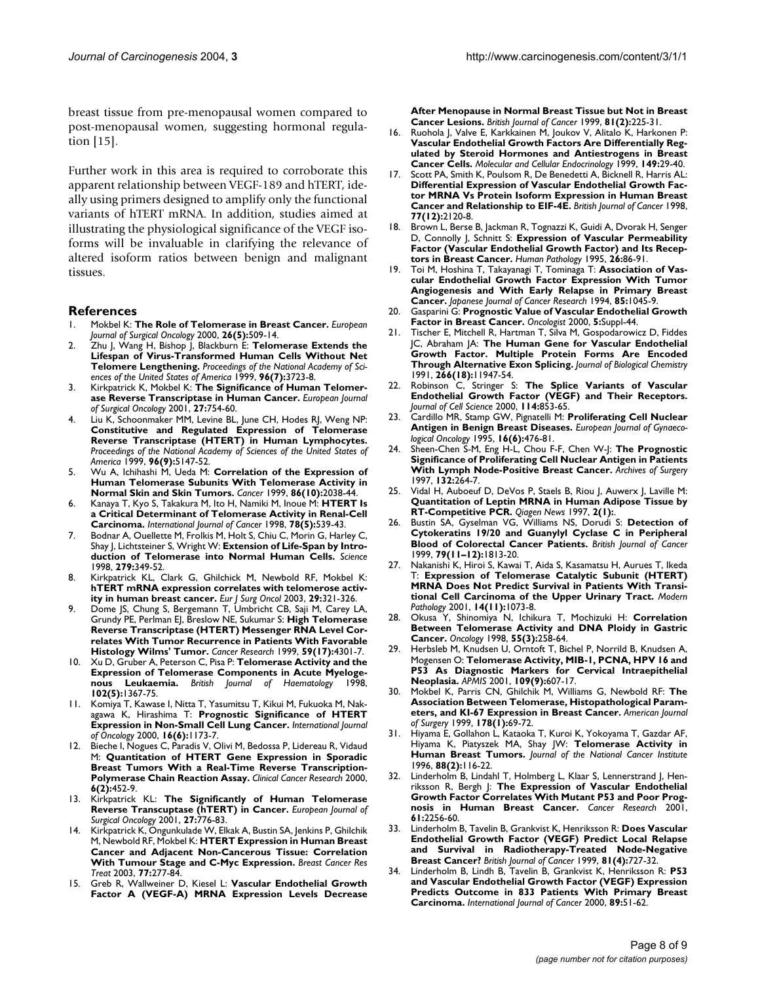breast tissue from pre-menopausal women compared to post-menopausal women, suggesting hormonal regulation [15].

Further work in this area is required to corroborate this apparent relationship between VEGF-189 and hTERT, ideally using primers designed to amplify only the functional variants of hTERT mRNA. In addition, studies aimed at illustrating the physiological significance of the VEGF isoforms will be invaluable in clarifying the relevance of altered isoform ratios between benign and malignant tissues.

#### **References**

- 1. Mokbel K: **[The Role of Telomerase in Breast Cancer](http://www.ncbi.nlm.nih.gov/entrez/query.fcgi?cmd=Retrieve&db=PubMed&dopt=Abstract&list_uids=10.1053/ejso.1999.0932)[.](http://www.ncbi.nlm.nih.gov/entrez/query.fcgi?cmd=Retrieve&db=PubMed&dopt=Abstract&list_uids=11016474)** *European Journal of Surgical Oncology* 2000, **26(5):**509-14.
- 2. Zhu J, Wang H, Bishop J, Blackburn E: **[Telomerase Extends the](http://www.ncbi.nlm.nih.gov/entrez/query.fcgi?cmd=Retrieve&db=PubMed&dopt=Abstract&list_uids=22361) [Lifespan of Virus-Transformed Human Cells Without Net](http://www.ncbi.nlm.nih.gov/entrez/query.fcgi?cmd=Retrieve&db=PubMed&dopt=Abstract&list_uids=22361) [Telomere Lengthening](http://www.ncbi.nlm.nih.gov/entrez/query.fcgi?cmd=Retrieve&db=PubMed&dopt=Abstract&list_uids=22361)[.](http://www.ncbi.nlm.nih.gov/entrez/query.fcgi?cmd=Retrieve&db=PubMed&dopt=Abstract&list_uids=10.1073/pnas.96.7.3723)** *Proceedings of the National Academy of Sciences of the United States of America* 1999, **96(7):**3723-8.
- 3. Kirkpatrick K, Mokbel K: **[The Significance of Human Telomer](http://www.ncbi.nlm.nih.gov/entrez/query.fcgi?cmd=Retrieve&db=PubMed&dopt=Abstract&list_uids=10.1053/ejso.2001.1151)[ase Reverse Transcriptase in Human Cancer](http://www.ncbi.nlm.nih.gov/entrez/query.fcgi?cmd=Retrieve&db=PubMed&dopt=Abstract&list_uids=10.1053/ejso.2001.1151)[.](http://www.ncbi.nlm.nih.gov/entrez/query.fcgi?cmd=Retrieve&db=PubMed&dopt=Abstract&list_uids=11735173)** *European Journal of Surgical Oncology* 2001, **27:**754-60.
- 4. Liu K, Schoonmaker MM, Levine BL, June CH, Hodes RJ, Weng NP: **[Constitutive and Regulated Expression of Telomerase](http://www.ncbi.nlm.nih.gov/entrez/query.fcgi?cmd=Retrieve&db=PubMed&dopt=Abstract&list_uids=21831) [Reverse Transcriptase \(HTERT\) in Human Lymphocytes](http://www.ncbi.nlm.nih.gov/entrez/query.fcgi?cmd=Retrieve&db=PubMed&dopt=Abstract&list_uids=21831)[.](http://www.ncbi.nlm.nih.gov/entrez/query.fcgi?cmd=Retrieve&db=PubMed&dopt=Abstract&list_uids=10.1073/pnas.96.9.5147)** *Proceedings of the National Academy of Sciences of the United States of America* 1999, **96(9):**5147-52.
- 5. Wu A, Ichihashi M, Ueda M: **[Correlation of the Expression of](http://www.ncbi.nlm.nih.gov/entrez/query.fcgi?cmd=Retrieve&db=PubMed&dopt=Abstract&list_uids=10.1002/(SICI)1097-0142(19991115)86:10<2038::AID-CNCR22>3.0.CO;2-A) [Human Telomerase Subunits With Telomerase Activity in](http://www.ncbi.nlm.nih.gov/entrez/query.fcgi?cmd=Retrieve&db=PubMed&dopt=Abstract&list_uids=10.1002/(SICI)1097-0142(19991115)86:10<2038::AID-CNCR22>3.0.CO;2-A) [Normal Skin and Skin Tumors](http://www.ncbi.nlm.nih.gov/entrez/query.fcgi?cmd=Retrieve&db=PubMed&dopt=Abstract&list_uids=10.1002/(SICI)1097-0142(19991115)86:10<2038::AID-CNCR22>3.0.CO;2-A)[.](http://www.ncbi.nlm.nih.gov/entrez/query.fcgi?cmd=Retrieve&db=PubMed&dopt=Abstract&list_uids=10570429)** *Cancer* 1999, **86(10):**2038-44.
- 6. Kanaya T, Kyo S, Takakura M, Ito H, Namiki M, Inoue M: **[HTERT Is](http://www.ncbi.nlm.nih.gov/entrez/query.fcgi?cmd=Retrieve&db=PubMed&dopt=Abstract&list_uids=10.1002/(SICI)1097-0215(19981123)78:5<539::AID-IJC2>3.3.CO;2-9) [a Critical Determinant of Telomerase Activity in Renal-Cell](http://www.ncbi.nlm.nih.gov/entrez/query.fcgi?cmd=Retrieve&db=PubMed&dopt=Abstract&list_uids=10.1002/(SICI)1097-0215(19981123)78:5<539::AID-IJC2>3.3.CO;2-9) [Carcinoma.](http://www.ncbi.nlm.nih.gov/entrez/query.fcgi?cmd=Retrieve&db=PubMed&dopt=Abstract&list_uids=10.1002/(SICI)1097-0215(19981123)78:5<539::AID-IJC2>3.3.CO;2-9)** *International Journal of Cancer* 1998, **78(5):**539-43.
- 7. Bodnar A, Ouellette M, Frolkis M, Holt S, Chiu C, Morin G, Harley C, Shay J, Lichtsteiner S, Wright W: **[Extension of Life-Span by Intro](http://www.ncbi.nlm.nih.gov/entrez/query.fcgi?cmd=Retrieve&db=PubMed&dopt=Abstract&list_uids=10.1126/science.279.5349.349)[duction of Telomerase into Normal Human Cells](http://www.ncbi.nlm.nih.gov/entrez/query.fcgi?cmd=Retrieve&db=PubMed&dopt=Abstract&list_uids=10.1126/science.279.5349.349)[.](http://www.ncbi.nlm.nih.gov/entrez/query.fcgi?cmd=Retrieve&db=PubMed&dopt=Abstract&list_uids=9454332)** *Science* 1998, **279:**349-52.
- 8. Kirkpatrick KL, Clark G, Ghilchick M, Newbold RF, Mokbel K: **[hTERT mRNA expression correlates with telomerose activ](http://www.ncbi.nlm.nih.gov/entrez/query.fcgi?cmd=Retrieve&db=PubMed&dopt=Abstract&list_uids=10.1053/ejso.2002.1374)[ity in human breast cancer.](http://www.ncbi.nlm.nih.gov/entrez/query.fcgi?cmd=Retrieve&db=PubMed&dopt=Abstract&list_uids=10.1053/ejso.2002.1374)** *Eur J Surg Oncol* 2003, **29:**321-326.
- Dome JS, Chung S, Bergemann T, Umbricht CB, Saji M, Carey LA, Grundy PE, Perlman EJ, Breslow NE, Sukumar S: **[High Telomerase](http://www.ncbi.nlm.nih.gov/entrez/query.fcgi?cmd=Retrieve&db=PubMed&dopt=Abstract&list_uids=10485476) Reverse Transcriptase (HTERT) Messenger RNA Level Cor[relates With Tumor Recurrence in Patients With Favorable](http://www.ncbi.nlm.nih.gov/entrez/query.fcgi?cmd=Retrieve&db=PubMed&dopt=Abstract&list_uids=10485476) [Histology Wilms' Tumor.](http://www.ncbi.nlm.nih.gov/entrez/query.fcgi?cmd=Retrieve&db=PubMed&dopt=Abstract&list_uids=10485476)** *Cancer Research* 1999, **59(17):**4301-7.
- 10. Xu D, Gruber A, Peterson C, Pisa P: **[Telomerase Activity and the](http://www.ncbi.nlm.nih.gov/entrez/query.fcgi?cmd=Retrieve&db=PubMed&dopt=Abstract&list_uids=10.1046/j.1365-2141.1998.00969.x) [Expression of Telomerase Components in Acute Myeloge](http://www.ncbi.nlm.nih.gov/entrez/query.fcgi?cmd=Retrieve&db=PubMed&dopt=Abstract&list_uids=10.1046/j.1365-2141.1998.00969.x)[nous Leukaemia](http://www.ncbi.nlm.nih.gov/entrez/query.fcgi?cmd=Retrieve&db=PubMed&dopt=Abstract&list_uids=10.1046/j.1365-2141.1998.00969.x)[.](http://www.ncbi.nlm.nih.gov/entrez/query.fcgi?cmd=Retrieve&db=PubMed&dopt=Abstract&list_uids=9753073)** *British Journal of Haematology* 1998, **102(5):**1367-75.
- 11. Komiya T, Kawase I, Nitta T, Yasumitsu T, Kikui M, Fukuoka M, Nakagawa K, Hirashima T: **[Prognostic Significance of HTERT](http://www.ncbi.nlm.nih.gov/entrez/query.fcgi?cmd=Retrieve&db=PubMed&dopt=Abstract&list_uids=10811992) [Expression in Non-Small Cell Lung Cancer.](http://www.ncbi.nlm.nih.gov/entrez/query.fcgi?cmd=Retrieve&db=PubMed&dopt=Abstract&list_uids=10811992)** *International Journal of Oncology* 2000, **16(6):**1173-7.
- Bieche I, Nogues C, Paradis V, Olivi M, Bedossa P, Lidereau R, Vidaud M: **[Quantitation of HTERT Gene Expression in Sporadic](http://www.ncbi.nlm.nih.gov/entrez/query.fcgi?cmd=Retrieve&db=PubMed&dopt=Abstract&list_uids=10690523) [Breast Tumors With a Real-Time Reverse Transcription-](http://www.ncbi.nlm.nih.gov/entrez/query.fcgi?cmd=Retrieve&db=PubMed&dopt=Abstract&list_uids=10690523)[Polymerase Chain Reaction Assay.](http://www.ncbi.nlm.nih.gov/entrez/query.fcgi?cmd=Retrieve&db=PubMed&dopt=Abstract&list_uids=10690523)** *Clinical Cancer Research* 2000, **6(2):**452-9.
- 13. Kirkpatrick KL: **[The Significantly of Human Telomerase](http://www.ncbi.nlm.nih.gov/entrez/query.fcgi?cmd=Retrieve&db=PubMed&dopt=Abstract&list_uids=10.1053/ejso.2001.1151) [Reverse Transcuptase \(hTERT\) in Cancer.](http://www.ncbi.nlm.nih.gov/entrez/query.fcgi?cmd=Retrieve&db=PubMed&dopt=Abstract&list_uids=10.1053/ejso.2001.1151)** *European Journal of Surgical Oncology* 2001, **27:**776-83.
- 14. Kirkpatrick K, Ongunkulade W, Elkak A, Bustin SA, Jenkins P, Ghilchik M, Newbold RF, Mokbel K: **[HTERT Expression in Human Breast](http://www.ncbi.nlm.nih.gov/entrez/query.fcgi?cmd=Retrieve&db=PubMed&dopt=Abstract&list_uids=10.1023/A:1021849217054) [Cancer and Adjacent Non-Cancerous Tissue: Correlation](http://www.ncbi.nlm.nih.gov/entrez/query.fcgi?cmd=Retrieve&db=PubMed&dopt=Abstract&list_uids=10.1023/A:1021849217054) [With Tumour Stage and C-Myc Expression](http://www.ncbi.nlm.nih.gov/entrez/query.fcgi?cmd=Retrieve&db=PubMed&dopt=Abstract&list_uids=10.1023/A:1021849217054)[.](http://www.ncbi.nlm.nih.gov/entrez/query.fcgi?cmd=Retrieve&db=PubMed&dopt=Abstract&list_uids=12602927)** *Breast Cancer Res Treat* 2003, **77:**277-84.
- 15. Greb R, Wallweiner D, Kiesel L: **[Vascular Endothelial Growth](http://www.ncbi.nlm.nih.gov/entrez/query.fcgi?cmd=Retrieve&db=PubMed&dopt=Abstract&list_uids=10.1038/sj.bjc.6690681) [Factor A \(VEGF-A\) MRNA Expression Levels Decrease](http://www.ncbi.nlm.nih.gov/entrez/query.fcgi?cmd=Retrieve&db=PubMed&dopt=Abstract&list_uids=10.1038/sj.bjc.6690681)**

**[After Menopause in Normal Breast Tissue but Not in Breast](http://www.ncbi.nlm.nih.gov/entrez/query.fcgi?cmd=Retrieve&db=PubMed&dopt=Abstract&list_uids=10.1038/sj.bjc.6690681) [Cancer Lesions](http://www.ncbi.nlm.nih.gov/entrez/query.fcgi?cmd=Retrieve&db=PubMed&dopt=Abstract&list_uids=10.1038/sj.bjc.6690681)[.](http://www.ncbi.nlm.nih.gov/entrez/query.fcgi?cmd=Retrieve&db=PubMed&dopt=Abstract&list_uids=10496346)** *British Journal of Cancer* 1999, **81(2):**225-31.

- 16. Ruohola J, Valve E, Karkkainen M, Joukov V, Alitalo K, Harkonen P: **Vascular Endothelial Growth Factors Are Differentially Reg[ulated by Steroid Hormones and Antiestrogens in Breast](http://www.ncbi.nlm.nih.gov/entrez/query.fcgi?cmd=Retrieve&db=PubMed&dopt=Abstract&list_uids=10.1016/S0303-7207(99)00003-9) [Cancer Cells](http://www.ncbi.nlm.nih.gov/entrez/query.fcgi?cmd=Retrieve&db=PubMed&dopt=Abstract&list_uids=10.1016/S0303-7207(99)00003-9)[.](http://www.ncbi.nlm.nih.gov/entrez/query.fcgi?cmd=Retrieve&db=PubMed&dopt=Abstract&list_uids=10375015)** *Molecular and Cellular Endocrinology* 1999, **149:**29-40.
- 17. Scott PA, Smith K, Poulsom R, De Benedetti A, Bicknell R, Harris AL: **Differential Expression of Vascular Endothelial Growth Fac[tor MRNA Vs Protein Isoform Expression in Human Breast](http://www.ncbi.nlm.nih.gov/entrez/query.fcgi?cmd=Retrieve&db=PubMed&dopt=Abstract&list_uids=9649123) [Cancer and Relationship to EIF-4E.](http://www.ncbi.nlm.nih.gov/entrez/query.fcgi?cmd=Retrieve&db=PubMed&dopt=Abstract&list_uids=9649123)** *British Journal of Cancer* 1998, **77(12):**2120-8.
- 18. Brown L, Berse B, Jackman R, Tognazzi K, Guidi A, Dvorak H, Senger D, Connolly J, Schnitt S: **[Expression of Vascular Permeability](http://www.ncbi.nlm.nih.gov/entrez/query.fcgi?cmd=Retrieve&db=PubMed&dopt=Abstract&list_uids=7821921) [Factor \(Vascular Endothelial Growth Factor\) and Its Recep](http://www.ncbi.nlm.nih.gov/entrez/query.fcgi?cmd=Retrieve&db=PubMed&dopt=Abstract&list_uids=7821921)[tors in Breast Cancer.](http://www.ncbi.nlm.nih.gov/entrez/query.fcgi?cmd=Retrieve&db=PubMed&dopt=Abstract&list_uids=7821921)** *Human Pathology* 1995, **26:**86-91.
- 19. Toi M, Hoshina T, Takayanagi T, Tominaga T: **[Association of Vas](http://www.ncbi.nlm.nih.gov/entrez/query.fcgi?cmd=Retrieve&db=PubMed&dopt=Abstract&list_uids=7525523)[cular Endothelial Growth Factor Expression With Tumor](http://www.ncbi.nlm.nih.gov/entrez/query.fcgi?cmd=Retrieve&db=PubMed&dopt=Abstract&list_uids=7525523) Angiogenesis and With Early Relapse in Primary Breast [Cancer.](http://www.ncbi.nlm.nih.gov/entrez/query.fcgi?cmd=Retrieve&db=PubMed&dopt=Abstract&list_uids=7525523)** *Japanese Journal of Cancer Research* 1994, **85:**1045-9.
- 20. Gasparini G: **Prognostic Value of Vascular Endothelial Growth Factor in Breast Cancer.** *Oncologist* 2000, **5:**Suppl-44.
- 21. Tischer E, Mitchell R, Hartman T, Silva M, Gospodarowicz D, Fiddes JC, Abraham JA: **[The Human Gene for Vascular Endothelial](http://www.ncbi.nlm.nih.gov/entrez/query.fcgi?cmd=Retrieve&db=PubMed&dopt=Abstract&list_uids=1711045) [Growth Factor. Multiple Protein Forms Are Encoded](http://www.ncbi.nlm.nih.gov/entrez/query.fcgi?cmd=Retrieve&db=PubMed&dopt=Abstract&list_uids=1711045) [Through Alternative Exon Splicing.](http://www.ncbi.nlm.nih.gov/entrez/query.fcgi?cmd=Retrieve&db=PubMed&dopt=Abstract&list_uids=1711045)** *Journal of Biological Chemistry* 1991, **266(18):**11947-54.
- 22. Robinson C, Stringer S: **The Splice Variants of Vascular Endothelial Growth Factor (VEGF) and Their Receptors.** *Journal of Cell Science* 2000, **114:**853-65.
- 23. Cardillo MR, Stamp GW, Pignatelli M: **[Proliferating Cell Nuclear](http://www.ncbi.nlm.nih.gov/entrez/query.fcgi?cmd=Retrieve&db=PubMed&dopt=Abstract&list_uids=8536762) [Antigen in Benign Breast Diseases.](http://www.ncbi.nlm.nih.gov/entrez/query.fcgi?cmd=Retrieve&db=PubMed&dopt=Abstract&list_uids=8536762)** *European Journal of Gynaecological Oncology* 1995, **16(6):**476-81.
- 24. Sheen-Chen S-M, Eng H-L, Chou F-F, Chen W-J: **[The Prognostic](http://www.ncbi.nlm.nih.gov/entrez/query.fcgi?cmd=Retrieve&db=PubMed&dopt=Abstract&list_uids=9125025) [Significance of Proliferating Cell Nuclear Antigen in Patients](http://www.ncbi.nlm.nih.gov/entrez/query.fcgi?cmd=Retrieve&db=PubMed&dopt=Abstract&list_uids=9125025) [With Lymph Node-Positive Breast Cancer.](http://www.ncbi.nlm.nih.gov/entrez/query.fcgi?cmd=Retrieve&db=PubMed&dopt=Abstract&list_uids=9125025)** *Archives of Surgery* 1997, **132:**264-7.
- 25. Vidal H, Auboeuf D, DeVos P, Staels B, Riou J, Auwerx J, Laville M: **Quantitation of Leptin MRNA in Human Adipose Tissue by RT-Competitive PCR.** *Qiagen News* 1997, **2(1):**.
- 26. Bustin SA, Gyselman VG, Williams NS, Dorudi S: **[Detection of](http://www.ncbi.nlm.nih.gov/entrez/query.fcgi?cmd=Retrieve&db=PubMed&dopt=Abstract&list_uids=10.1038/sj.bjc.6690289) [Cytokeratins 19/20 and Guanylyl Cyclase C in Peripheral](http://www.ncbi.nlm.nih.gov/entrez/query.fcgi?cmd=Retrieve&db=PubMed&dopt=Abstract&list_uids=10.1038/sj.bjc.6690289) [Blood of Colorectal Cancer Patients](http://www.ncbi.nlm.nih.gov/entrez/query.fcgi?cmd=Retrieve&db=PubMed&dopt=Abstract&list_uids=10.1038/sj.bjc.6690289)[.](http://www.ncbi.nlm.nih.gov/entrez/query.fcgi?cmd=Retrieve&db=PubMed&dopt=Abstract&list_uids=10206298)** *British Journal of Cancer* 1999, **79(11–12):**1813-20.
- 27. Nakanishi K, Hiroi S, Kawai T, Aida S, Kasamatsu H, Aurues T, Ikeda T: **[Expression of Telomerase Catalytic Subunit \(HTERT\)](http://www.ncbi.nlm.nih.gov/entrez/query.fcgi?cmd=Retrieve&db=PubMed&dopt=Abstract&list_uids=11706066) [MRNA Does Not Predict Survival in Patients With Transi](http://www.ncbi.nlm.nih.gov/entrez/query.fcgi?cmd=Retrieve&db=PubMed&dopt=Abstract&list_uids=11706066)[tional Cell Carcinoma of the Upper Urinary Tract.](http://www.ncbi.nlm.nih.gov/entrez/query.fcgi?cmd=Retrieve&db=PubMed&dopt=Abstract&list_uids=11706066)** *Modern Pathology* 2001, **14(11):**1073-8.
- 28. Okusa Y, Shinomiya N, Ichikura T, Mochizuki H: **[Correlation](http://www.ncbi.nlm.nih.gov/entrez/query.fcgi?cmd=Retrieve&db=PubMed&dopt=Abstract&list_uids=10.1159/000011860) [Between Telomerase Activity and DNA Ploidy in Gastric](http://www.ncbi.nlm.nih.gov/entrez/query.fcgi?cmd=Retrieve&db=PubMed&dopt=Abstract&list_uids=10.1159/000011860) [Cancer](http://www.ncbi.nlm.nih.gov/entrez/query.fcgi?cmd=Retrieve&db=PubMed&dopt=Abstract&list_uids=10.1159/000011860)[.](http://www.ncbi.nlm.nih.gov/entrez/query.fcgi?cmd=Retrieve&db=PubMed&dopt=Abstract&list_uids=9560059)** *Oncology* 1998, **55(3):**258-64.
- 29. Herbsleb M, Knudsen U, Orntoft T, Bichel P, Norrild B, Knudsen A, Mogensen O: **[Telomerase Activity, MIB-1, PCNA, HPV 16 and](http://www.ncbi.nlm.nih.gov/entrez/query.fcgi?cmd=Retrieve&db=PubMed&dopt=Abstract&list_uids=10.1034/j.1600-0463.2001.d01-182.x) [P53 As Diagnostic Markers for Cervical Intraepithelial](http://www.ncbi.nlm.nih.gov/entrez/query.fcgi?cmd=Retrieve&db=PubMed&dopt=Abstract&list_uids=10.1034/j.1600-0463.2001.d01-182.x) [Neoplasia](http://www.ncbi.nlm.nih.gov/entrez/query.fcgi?cmd=Retrieve&db=PubMed&dopt=Abstract&list_uids=10.1034/j.1600-0463.2001.d01-182.x)[.](http://www.ncbi.nlm.nih.gov/entrez/query.fcgi?cmd=Retrieve&db=PubMed&dopt=Abstract&list_uids=11878714)** *APMIS* 2001, **109(9):**607-17.
- 30. Mokbel K, Parris CN, Ghilchik M, Williams G, Newbold RF: **[The](http://www.ncbi.nlm.nih.gov/entrez/query.fcgi?cmd=Retrieve&db=PubMed&dopt=Abstract&list_uids=10.1016/S0002-9610(99)00128-2) [Association Between Telomerase, Histopathological Param](http://www.ncbi.nlm.nih.gov/entrez/query.fcgi?cmd=Retrieve&db=PubMed&dopt=Abstract&list_uids=10.1016/S0002-9610(99)00128-2)[eters, and KI-67 Expression in Breast Cancer](http://www.ncbi.nlm.nih.gov/entrez/query.fcgi?cmd=Retrieve&db=PubMed&dopt=Abstract&list_uids=10.1016/S0002-9610(99)00128-2)[.](http://www.ncbi.nlm.nih.gov/entrez/query.fcgi?cmd=Retrieve&db=PubMed&dopt=Abstract&list_uids=10456708)** *American Journal of Surgery* 1999, **178(1):**69-72.
- 31. Hiyama E, Gollahon L, Kataoka T, Kuroi K, Yokoyama T, Gazdar AF, Hiyama K, Piatyszek MA, Shay JW: **[Telomerase Activity in](http://www.ncbi.nlm.nih.gov/entrez/query.fcgi?cmd=Retrieve&db=PubMed&dopt=Abstract&list_uids=10.1093/jnci/88.2.116) [Human Breast Tumors](http://www.ncbi.nlm.nih.gov/entrez/query.fcgi?cmd=Retrieve&db=PubMed&dopt=Abstract&list_uids=10.1093/jnci/88.2.116)[.](http://www.ncbi.nlm.nih.gov/entrez/query.fcgi?cmd=Retrieve&db=PubMed&dopt=Abstract&list_uids=8537972)** *Journal of the National Cancer Institute* 1996, **88(2):**116-22.
- 32. Linderholm B, Lindahl T, Holmberg L, Klaar S, Lennerstrand J, Henriksson R, Bergh J: **[The Expression of Vascular Endothelial](http://www.ncbi.nlm.nih.gov/entrez/query.fcgi?cmd=Retrieve&db=PubMed&dopt=Abstract&list_uids=11280795) [Growth Factor Correlates With Mutant P53 and Poor Prog](http://www.ncbi.nlm.nih.gov/entrez/query.fcgi?cmd=Retrieve&db=PubMed&dopt=Abstract&list_uids=11280795)[nosis in Human Breast Cancer.](http://www.ncbi.nlm.nih.gov/entrez/query.fcgi?cmd=Retrieve&db=PubMed&dopt=Abstract&list_uids=11280795)** *Cancer Research* 2001, **61:**2256-60.
- 33. Linderholm B, Tavelin B, Grankvist K, Henriksson R: **[Does Vascular](http://www.ncbi.nlm.nih.gov/entrez/query.fcgi?cmd=Retrieve&db=PubMed&dopt=Abstract&list_uids=10.1038/sj.bjc.6690755) Endothelial Growth Factor (VEGF) Predict Local Relapse [and Survival in Radiotherapy-Treated Node-Negative](http://www.ncbi.nlm.nih.gov/entrez/query.fcgi?cmd=Retrieve&db=PubMed&dopt=Abstract&list_uids=10.1038/sj.bjc.6690755) [Breast Cancer?](http://www.ncbi.nlm.nih.gov/entrez/query.fcgi?cmd=Retrieve&db=PubMed&dopt=Abstract&list_uids=10.1038/sj.bjc.6690755)** *British Journal of Cancer* 1999, **81(4):**727-32.
- 34. Linderholm B, Lindh B, Tavelin B, Grankvist K, Henriksson R: **[P53](http://www.ncbi.nlm.nih.gov/entrez/query.fcgi?cmd=Retrieve&db=PubMed&dopt=Abstract&list_uids=10.1002/(SICI)1097-0215(20000120)89:1<51::AID-IJC9>3.3.CO;2-#) and Vascular Endothelial Growth Factor (VEGF) Expression [Predicts Outcome in 833 Patients With Primary Breast](http://www.ncbi.nlm.nih.gov/entrez/query.fcgi?cmd=Retrieve&db=PubMed&dopt=Abstract&list_uids=10.1002/(SICI)1097-0215(20000120)89:1<51::AID-IJC9>3.3.CO;2-#) [Carcinoma.](http://www.ncbi.nlm.nih.gov/entrez/query.fcgi?cmd=Retrieve&db=PubMed&dopt=Abstract&list_uids=10.1002/(SICI)1097-0215(20000120)89:1<51::AID-IJC9>3.3.CO;2-#)** *International Journal of Cancer* 2000, **89:**51-62.